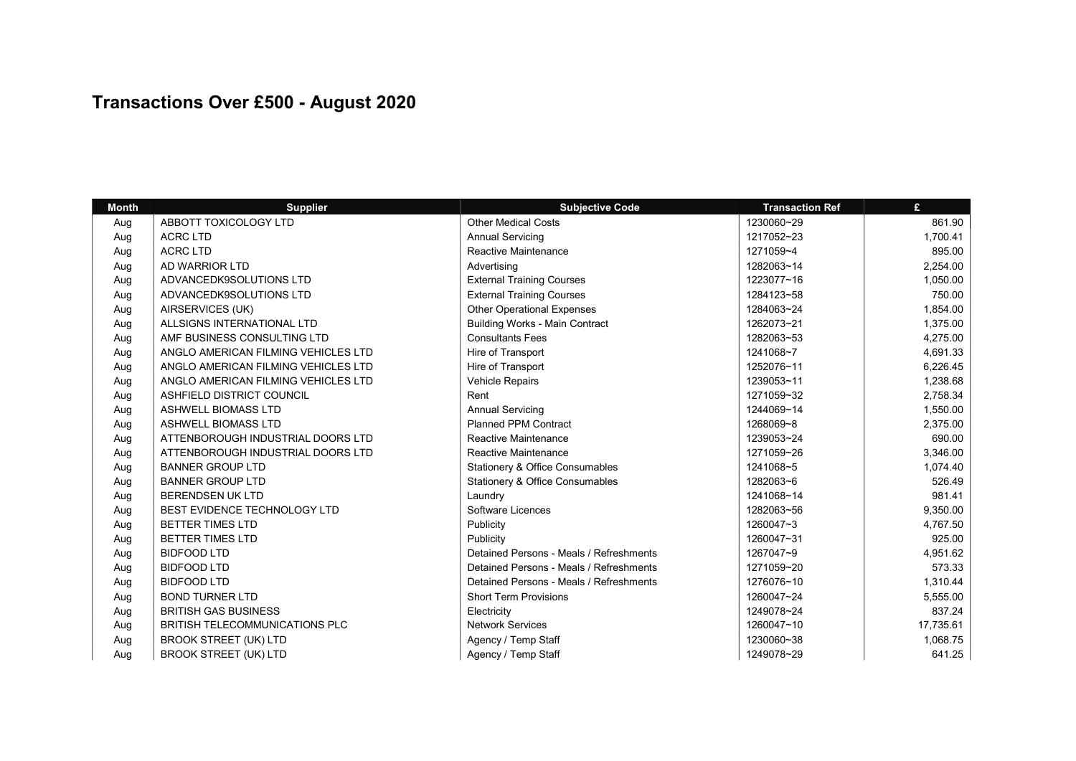## Transactions Over £500 - August 2020

| <b>Month</b> | <b>Supplier</b>                       | <b>Subjective Code</b>                     | <b>Transaction Ref</b> | £         |
|--------------|---------------------------------------|--------------------------------------------|------------------------|-----------|
| Aug          | ABBOTT TOXICOLOGY LTD                 | <b>Other Medical Costs</b>                 | 1230060~29             | 861.90    |
| Aug          | <b>ACRC LTD</b>                       | <b>Annual Servicing</b>                    | 1217052~23             | 1,700.41  |
| Aug          | <b>ACRC LTD</b>                       | <b>Reactive Maintenance</b>                | 1271059~4              | 895.00    |
| Aug          | AD WARRIOR LTD                        | Advertising                                | 1282063~14             | 2,254.00  |
| Aug          | ADVANCEDK9SOLUTIONS LTD               | <b>External Training Courses</b>           | 1223077~16             | 1,050.00  |
| Aug          | ADVANCEDK9SOLUTIONS LTD               | <b>External Training Courses</b>           | 1284123~58             | 750.00    |
| Aug          | AIRSERVICES (UK)                      | <b>Other Operational Expenses</b>          | 1284063~24             | 1,854.00  |
| Aug          | ALLSIGNS INTERNATIONAL LTD            | <b>Building Works - Main Contract</b>      | 1262073~21             | 1,375.00  |
| Aug          | AMF BUSINESS CONSULTING LTD           | <b>Consultants Fees</b>                    | 1282063~53             | 4,275.00  |
| Aug          | ANGLO AMERICAN FILMING VEHICLES LTD   | Hire of Transport                          | 1241068~7              | 4,691.33  |
| Aug          | ANGLO AMERICAN FILMING VEHICLES LTD   | Hire of Transport                          | 1252076~11             | 6,226.45  |
| Aug          | ANGLO AMERICAN FILMING VEHICLES LTD   | Vehicle Repairs                            | 1239053~11             | 1,238.68  |
| Aug          | ASHFIELD DISTRICT COUNCIL             | Rent                                       | 1271059~32             | 2,758.34  |
| Aug          | <b>ASHWELL BIOMASS LTD</b>            | <b>Annual Servicing</b>                    | 1244069~14             | 1,550.00  |
| Aug          | <b>ASHWELL BIOMASS LTD</b>            | <b>Planned PPM Contract</b>                | 1268069~8              | 2,375.00  |
| Aug          | ATTENBOROUGH INDUSTRIAL DOORS LTD     | <b>Reactive Maintenance</b>                | 1239053~24             | 690.00    |
| Aug          | ATTENBOROUGH INDUSTRIAL DOORS LTD     | <b>Reactive Maintenance</b>                | 1271059~26             | 3,346.00  |
| Aug          | <b>BANNER GROUP LTD</b>               | Stationery & Office Consumables            | 1241068~5              | 1,074.40  |
| Aug          | <b>BANNER GROUP LTD</b>               | <b>Stationery &amp; Office Consumables</b> | 1282063~6              | 526.49    |
| Aug          | <b>BERENDSEN UK LTD</b>               | Laundry                                    | 1241068~14             | 981.41    |
| Aug          | BEST EVIDENCE TECHNOLOGY LTD          | Software Licences                          | 1282063~56             | 9,350.00  |
| Aug          | <b>BETTER TIMES LTD</b>               | Publicity                                  | 1260047~3              | 4,767.50  |
| Aug          | <b>BETTER TIMES LTD</b>               | Publicity                                  | 1260047~31             | 925.00    |
| Aug          | <b>BIDFOOD LTD</b>                    | Detained Persons - Meals / Refreshments    | 1267047~9              | 4,951.62  |
| Aug          | <b>BIDFOOD LTD</b>                    | Detained Persons - Meals / Refreshments    | 1271059~20             | 573.33    |
| Aug          | <b>BIDFOOD LTD</b>                    | Detained Persons - Meals / Refreshments    | 1276076~10             | 1,310.44  |
| Aug          | <b>BOND TURNER LTD</b>                | <b>Short Term Provisions</b>               | 1260047~24             | 5,555.00  |
| Aug          | <b>BRITISH GAS BUSINESS</b>           | Electricity                                | 1249078~24             | 837.24    |
| Aug          | <b>BRITISH TELECOMMUNICATIONS PLC</b> | <b>Network Services</b>                    | 1260047~10             | 17,735.61 |
| Aug          | <b>BROOK STREET (UK) LTD</b>          | Agency / Temp Staff                        | 1230060~38             | 1,068.75  |
| Aug          | <b>BROOK STREET (UK) LTD</b>          | Agency / Temp Staff                        | 1249078~29             | 641.25    |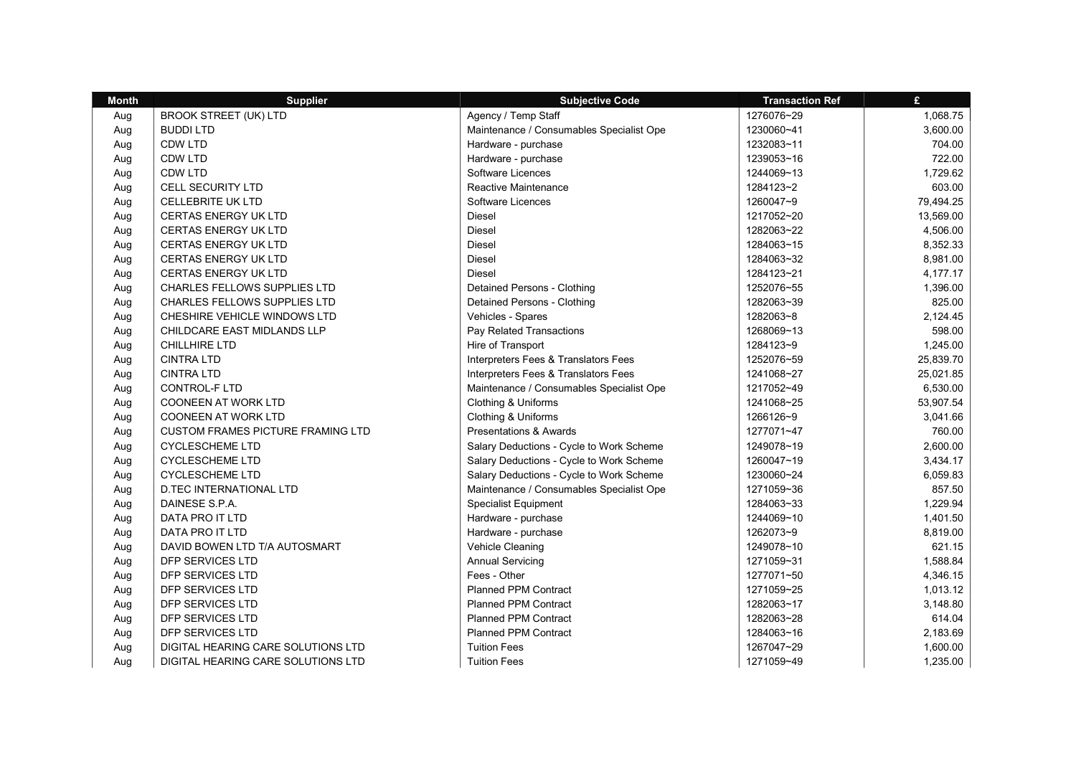| <b>Month</b> | <b>Supplier</b>                          | <b>Subjective Code</b>                   | <b>Transaction Ref</b> | £         |
|--------------|------------------------------------------|------------------------------------------|------------------------|-----------|
| Aug          | <b>BROOK STREET (UK) LTD</b>             | Agency / Temp Staff                      | 1276076~29             | 1,068.75  |
| Aug          | <b>BUDDILTD</b>                          | Maintenance / Consumables Specialist Ope | 1230060~41             | 3,600.00  |
| Aug          | CDW LTD                                  | Hardware - purchase                      | 1232083~11             | 704.00    |
| Aug          | CDW LTD                                  | Hardware - purchase                      | 1239053~16             | 722.00    |
| Aug          | CDW LTD                                  | Software Licences                        | 1244069~13             | 1,729.62  |
| Aug          | <b>CELL SECURITY LTD</b>                 | Reactive Maintenance                     | 1284123~2              | 603.00    |
| Aug          | <b>CELLEBRITE UK LTD</b>                 | Software Licences                        | 1260047~9              | 79,494.25 |
| Aug          | <b>CERTAS ENERGY UK LTD</b>              | Diesel                                   | 1217052~20             | 13,569.00 |
| Aug          | <b>CERTAS ENERGY UK LTD</b>              | Diesel                                   | 1282063~22             | 4,506.00  |
| Aug          | <b>CERTAS ENERGY UK LTD</b>              | Diesel                                   | 1284063~15             | 8,352.33  |
| Aug          | <b>CERTAS ENERGY UK LTD</b>              | Diesel                                   | 1284063~32             | 8,981.00  |
| Aug          | <b>CERTAS ENERGY UK LTD</b>              | <b>Diesel</b>                            | 1284123~21             | 4,177.17  |
| Aug          | CHARLES FELLOWS SUPPLIES LTD             | Detained Persons - Clothing              | 1252076~55             | 1,396.00  |
| Aug          | <b>CHARLES FELLOWS SUPPLIES LTD</b>      | Detained Persons - Clothing              | 1282063~39             | 825.00    |
| Aug          | CHESHIRE VEHICLE WINDOWS LTD             | Vehicles - Spares                        | 1282063~8              | 2,124.45  |
| Aug          | CHILDCARE EAST MIDLANDS LLP              | Pay Related Transactions                 | 1268069~13             | 598.00    |
| Aug          | CHILLHIRE LTD                            | Hire of Transport                        | 1284123~9              | 1,245.00  |
| Aug          | <b>CINTRA LTD</b>                        | Interpreters Fees & Translators Fees     | 1252076~59             | 25,839.70 |
| Aug          | <b>CINTRA LTD</b>                        | Interpreters Fees & Translators Fees     | 1241068~27             | 25,021.85 |
| Aug          | <b>CONTROL-F LTD</b>                     | Maintenance / Consumables Specialist Ope | 1217052~49             | 6,530.00  |
| Aug          | <b>COONEEN AT WORK LTD</b>               | Clothing & Uniforms                      | 1241068~25             | 53,907.54 |
| Aug          | COONEEN AT WORK LTD                      | Clothing & Uniforms                      | 1266126~9              | 3,041.66  |
| Aug          | <b>CUSTOM FRAMES PICTURE FRAMING LTD</b> | <b>Presentations &amp; Awards</b>        | 1277071~47             | 760.00    |
| Aug          | <b>CYCLESCHEME LTD</b>                   | Salary Deductions - Cycle to Work Scheme | 1249078~19             | 2,600.00  |
| Aug          | <b>CYCLESCHEME LTD</b>                   | Salary Deductions - Cycle to Work Scheme | 1260047~19             | 3,434.17  |
| Aug          | <b>CYCLESCHEME LTD</b>                   | Salary Deductions - Cycle to Work Scheme | 1230060~24             | 6,059.83  |
| Aug          | <b>D.TEC INTERNATIONAL LTD</b>           | Maintenance / Consumables Specialist Ope | 1271059~36             | 857.50    |
| Aug          | DAINESE S.P.A.                           | <b>Specialist Equipment</b>              | 1284063~33             | 1,229.94  |
| Aug          | DATA PRO IT LTD                          | Hardware - purchase                      | 1244069~10             | 1,401.50  |
| Aug          | DATA PRO IT LTD                          | Hardware - purchase                      | 1262073~9              | 8,819.00  |
| Aug          | DAVID BOWEN LTD T/A AUTOSMART            | Vehicle Cleaning                         | 1249078~10             | 621.15    |
| Aug          | DFP SERVICES LTD                         | <b>Annual Servicing</b>                  | 1271059~31             | 1,588.84  |
| Aug          | DFP SERVICES LTD                         | Fees - Other                             | 1277071~50             | 4,346.15  |
| Aug          | DFP SERVICES LTD                         | <b>Planned PPM Contract</b>              | 1271059~25             | 1,013.12  |
| Aug          | DFP SERVICES LTD                         | <b>Planned PPM Contract</b>              | 1282063~17             | 3,148.80  |
| Aug          | DFP SERVICES LTD                         | <b>Planned PPM Contract</b>              | 1282063~28             | 614.04    |
| Aug          | DFP SERVICES LTD                         | <b>Planned PPM Contract</b>              | 1284063~16             | 2,183.69  |
| Aug          | DIGITAL HEARING CARE SOLUTIONS LTD       | <b>Tuition Fees</b>                      | 1267047~29             | 1,600.00  |
| Aug          | DIGITAL HEARING CARE SOLUTIONS LTD       | <b>Tuition Fees</b>                      | 1271059~49             | 1,235.00  |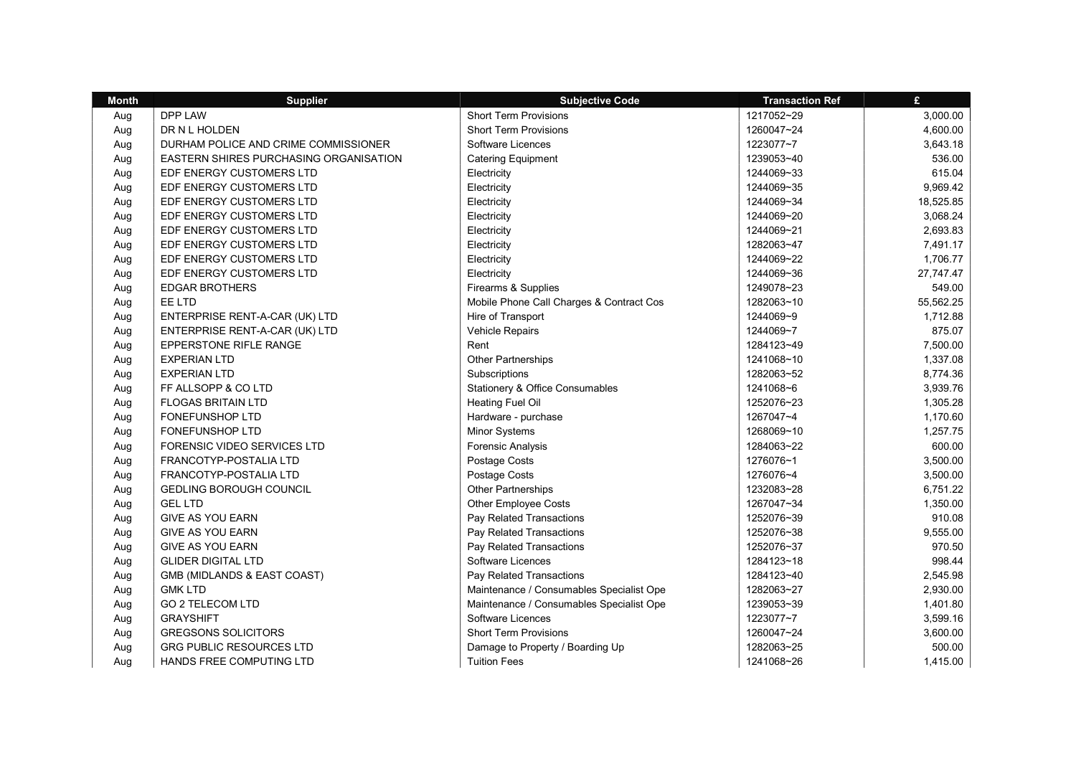| <b>Month</b> | <b>Supplier</b>                        | <b>Subjective Code</b>                     | <b>Transaction Ref</b> | £         |
|--------------|----------------------------------------|--------------------------------------------|------------------------|-----------|
| Aug          | DPP LAW                                | <b>Short Term Provisions</b>               | 1217052~29             | 3,000.00  |
| Aug          | DR N L HOLDEN                          | <b>Short Term Provisions</b>               | 1260047~24             | 4,600.00  |
| Aug          | DURHAM POLICE AND CRIME COMMISSIONER   | Software Licences                          | 1223077~7              | 3,643.18  |
| Aug          | EASTERN SHIRES PURCHASING ORGANISATION | <b>Catering Equipment</b>                  | 1239053~40             | 536.00    |
| Aug          | EDF ENERGY CUSTOMERS LTD               | Electricity                                | 1244069~33             | 615.04    |
| Aug          | EDF ENERGY CUSTOMERS LTD               | Electricity                                | 1244069~35             | 9,969.42  |
| Aug          | EDF ENERGY CUSTOMERS LTD               | Electricity                                | 1244069~34             | 18,525.85 |
| Aug          | EDF ENERGY CUSTOMERS LTD               | Electricity                                | 1244069~20             | 3,068.24  |
| Aug          | EDF ENERGY CUSTOMERS LTD               | Electricity                                | 1244069~21             | 2,693.83  |
| Aug          | EDF ENERGY CUSTOMERS LTD               | Electricity                                | 1282063~47             | 7,491.17  |
| Aug          | EDF ENERGY CUSTOMERS LTD               | Electricity                                | 1244069~22             | 1,706.77  |
| Aug          | EDF ENERGY CUSTOMERS LTD               | Electricity                                | 1244069~36             | 27,747.47 |
| Aug          | <b>EDGAR BROTHERS</b>                  | Firearms & Supplies                        | 1249078~23             | 549.00    |
| Aug          | EE LTD                                 | Mobile Phone Call Charges & Contract Cos   | 1282063~10             | 55,562.25 |
| Aug          | ENTERPRISE RENT-A-CAR (UK) LTD         | Hire of Transport                          | 1244069~9              | 1,712.88  |
| Aug          | ENTERPRISE RENT-A-CAR (UK) LTD         | Vehicle Repairs                            | 1244069~7              | 875.07    |
| Aug          | EPPERSTONE RIFLE RANGE                 | Rent                                       | 1284123~49             | 7,500.00  |
| Aug          | <b>EXPERIAN LTD</b>                    | Other Partnerships                         | 1241068~10             | 1,337.08  |
| Aug          | <b>EXPERIAN LTD</b>                    | Subscriptions                              | 1282063~52             | 8,774.36  |
| Aug          | FF ALLSOPP & CO LTD                    | <b>Stationery &amp; Office Consumables</b> | 1241068~6              | 3,939.76  |
| Aug          | <b>FLOGAS BRITAIN LTD</b>              | <b>Heating Fuel Oil</b>                    | 1252076~23             | 1,305.28  |
| Aug          | FONEFUNSHOP LTD                        | Hardware - purchase                        | 1267047~4              | 1,170.60  |
| Aug          | <b>FONEFUNSHOP LTD</b>                 | <b>Minor Systems</b>                       | 1268069~10             | 1,257.75  |
| Aug          | FORENSIC VIDEO SERVICES LTD            | <b>Forensic Analysis</b>                   | 1284063~22             | 600.00    |
| Aug          | FRANCOTYP-POSTALIA LTD                 | Postage Costs                              | 1276076~1              | 3,500.00  |
| Aug          | FRANCOTYP-POSTALIA LTD                 | Postage Costs                              | 1276076~4              | 3,500.00  |
| Aug          | <b>GEDLING BOROUGH COUNCIL</b>         | <b>Other Partnerships</b>                  | 1232083~28             | 6,751.22  |
| Aug          | <b>GEL LTD</b>                         | Other Employee Costs                       | 1267047~34             | 1,350.00  |
| Aug          | <b>GIVE AS YOU EARN</b>                | Pay Related Transactions                   | 1252076~39             | 910.08    |
| Aug          | <b>GIVE AS YOU EARN</b>                | Pay Related Transactions                   | 1252076~38             | 9,555.00  |
| Aug          | <b>GIVE AS YOU EARN</b>                | Pay Related Transactions                   | 1252076~37             | 970.50    |
| Aug          | <b>GLIDER DIGITAL LTD</b>              | Software Licences                          | 1284123~18             | 998.44    |
| Aug          | GMB (MIDLANDS & EAST COAST)            | Pay Related Transactions                   | 1284123~40             | 2,545.98  |
| Aug          | <b>GMK LTD</b>                         | Maintenance / Consumables Specialist Ope   | 1282063~27             | 2,930.00  |
| Aug          | <b>GO 2 TELECOM LTD</b>                | Maintenance / Consumables Specialist Ope   | 1239053~39             | 1,401.80  |
| Aug          | <b>GRAYSHIFT</b>                       | Software Licences                          | 1223077~7              | 3,599.16  |
| Aug          | <b>GREGSONS SOLICITORS</b>             | <b>Short Term Provisions</b>               | 1260047~24             | 3,600.00  |
| Aug          | <b>GRG PUBLIC RESOURCES LTD</b>        | Damage to Property / Boarding Up           | 1282063~25             | 500.00    |
| Aua          | HANDS FREE COMPUTING LTD               | <b>Tuition Fees</b>                        | 1241068~26             | 1,415.00  |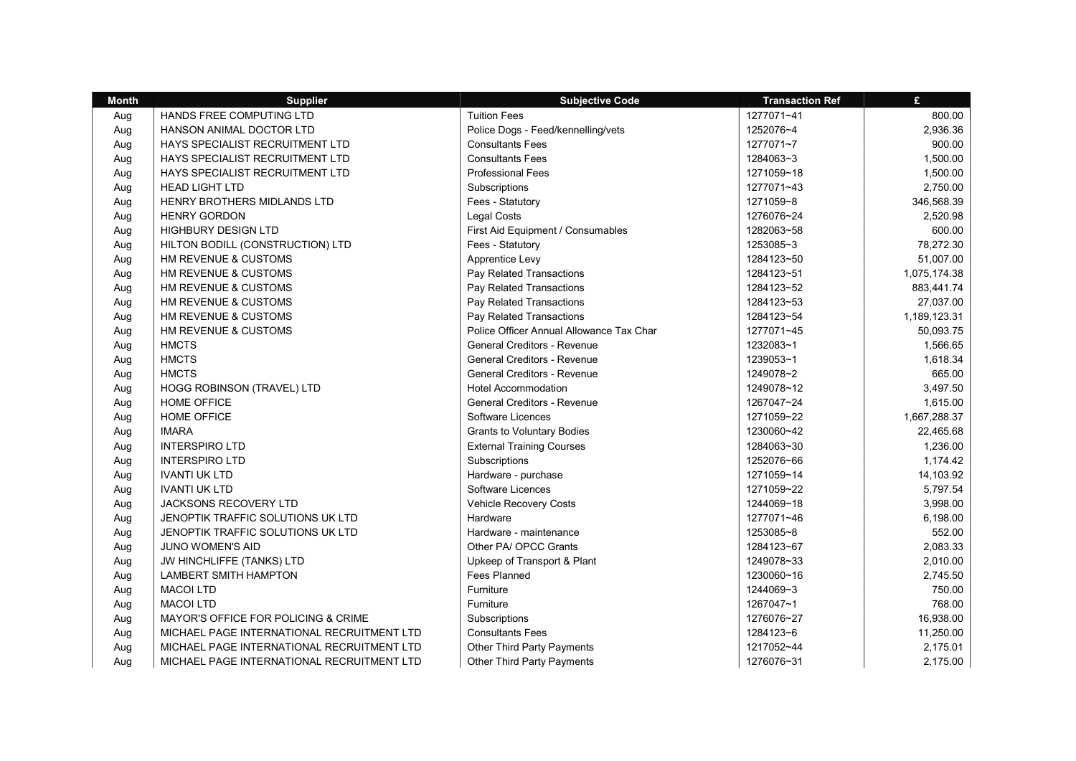| <b>Month</b> | <b>Supplier</b>                            | <b>Subjective Code</b>                   | <b>Transaction Ref</b> | £            |
|--------------|--------------------------------------------|------------------------------------------|------------------------|--------------|
| Aug          | HANDS FREE COMPUTING LTD                   | <b>Tuition Fees</b>                      | 1277071~41             | 800.00       |
| Aug          | HANSON ANIMAL DOCTOR LTD                   | Police Dogs - Feed/kennelling/vets       | 1252076~4              | 2,936.36     |
| Aug          | HAYS SPECIALIST RECRUITMENT LTD            | <b>Consultants Fees</b>                  | 1277071~7              | 900.00       |
| Aug          | HAYS SPECIALIST RECRUITMENT LTD            | <b>Consultants Fees</b>                  | 1284063~3              | 1,500.00     |
| Aug          | HAYS SPECIALIST RECRUITMENT LTD            | <b>Professional Fees</b>                 | 1271059~18             | 1,500.00     |
| Aug          | <b>HEAD LIGHT LTD</b>                      | Subscriptions                            | 1277071~43             | 2,750.00     |
| Aug          | <b>HENRY BROTHERS MIDLANDS LTD</b>         | Fees - Statutory                         | 1271059~8              | 346,568.39   |
| Aug          | <b>HENRY GORDON</b>                        | <b>Legal Costs</b>                       | 1276076~24             | 2,520.98     |
| Aug          | <b>HIGHBURY DESIGN LTD</b>                 | First Aid Equipment / Consumables        | 1282063~58             | 600.00       |
| Aug          | HILTON BODILL (CONSTRUCTION) LTD           | Fees - Statutory                         | 1253085~3              | 78,272.30    |
| Aug          | HM REVENUE & CUSTOMS                       | Apprentice Levy                          | 1284123~50             | 51,007.00    |
| Aug          | HM REVENUE & CUSTOMS                       | Pay Related Transactions                 | 1284123~51             | 1,075,174.38 |
| Aug          | HM REVENUE & CUSTOMS                       | Pay Related Transactions                 | 1284123~52             | 883,441.74   |
| Aug          | HM REVENUE & CUSTOMS                       | Pay Related Transactions                 | 1284123~53             | 27,037.00    |
| Aug          | <b>HM REVENUE &amp; CUSTOMS</b>            | Pay Related Transactions                 | 1284123~54             | 1,189,123.31 |
| Aug          | <b>HM REVENUE &amp; CUSTOMS</b>            | Police Officer Annual Allowance Tax Char | 1277071~45             | 50,093.75    |
| Aug          | <b>HMCTS</b>                               | <b>General Creditors - Revenue</b>       | 1232083~1              | 1,566.65     |
| Aug          | <b>HMCTS</b>                               | <b>General Creditors - Revenue</b>       | 1239053~1              | 1,618.34     |
| Aug          | <b>HMCTS</b>                               | <b>General Creditors - Revenue</b>       | 1249078~2              | 665.00       |
| Aug          | <b>HOGG ROBINSON (TRAVEL) LTD</b>          | <b>Hotel Accommodation</b>               | 1249078~12             | 3,497.50     |
| Aug          | <b>HOME OFFICE</b>                         | General Creditors - Revenue              | 1267047~24             | 1,615.00     |
| Aug          | <b>HOME OFFICE</b>                         | Software Licences                        | 1271059~22             | 1,667,288.37 |
| Aug          | <b>IMARA</b>                               | <b>Grants to Voluntary Bodies</b>        | 1230060~42             | 22,465.68    |
| Aug          | <b>INTERSPIRO LTD</b>                      | <b>External Training Courses</b>         | 1284063~30             | 1,236.00     |
| Aug          | <b>INTERSPIRO LTD</b>                      | Subscriptions                            | 1252076~66             | 1,174.42     |
| Aug          | <b>IVANTI UK LTD</b>                       | Hardware - purchase                      | 1271059~14             | 14,103.92    |
| Aug          | <b>IVANTI UK LTD</b>                       | Software Licences                        | 1271059~22             | 5,797.54     |
| Aug          | JACKSONS RECOVERY LTD                      | Vehicle Recovery Costs                   | 1244069~18             | 3,998.00     |
| Aug          | JENOPTIK TRAFFIC SOLUTIONS UK LTD          | Hardware                                 | 1277071~46             | 6,198.00     |
| Aug          | JENOPTIK TRAFFIC SOLUTIONS UK LTD          | Hardware - maintenance                   | 1253085~8              | 552.00       |
| Aug          | JUNO WOMEN'S AID                           | Other PA/ OPCC Grants                    | 1284123~67             | 2,083.33     |
| Aug          | JW HINCHLIFFE (TANKS) LTD                  | Upkeep of Transport & Plant              | 1249078~33             | 2,010.00     |
| Aug          | LAMBERT SMITH HAMPTON                      | Fees Planned                             | 1230060~16             | 2,745.50     |
| Aug          | <b>MACOI LTD</b>                           | Furniture                                | 1244069~3              | 750.00       |
| Aug          | <b>MACOI LTD</b>                           | Furniture                                | 1267047~1              | 768.00       |
| Aug          | MAYOR'S OFFICE FOR POLICING & CRIME        | Subscriptions                            | 1276076~27             | 16,938.00    |
| Aug          | MICHAEL PAGE INTERNATIONAL RECRUITMENT LTD | <b>Consultants Fees</b>                  | 1284123~6              | 11,250.00    |
| Aug          | MICHAEL PAGE INTERNATIONAL RECRUITMENT LTD | Other Third Party Payments               | 1217052~44             | 2,175.01     |
| Aua          | MICHAEL PAGE INTERNATIONAL RECRUITMENT LTD | <b>Other Third Party Payments</b>        | 1276076~31             | 2,175.00     |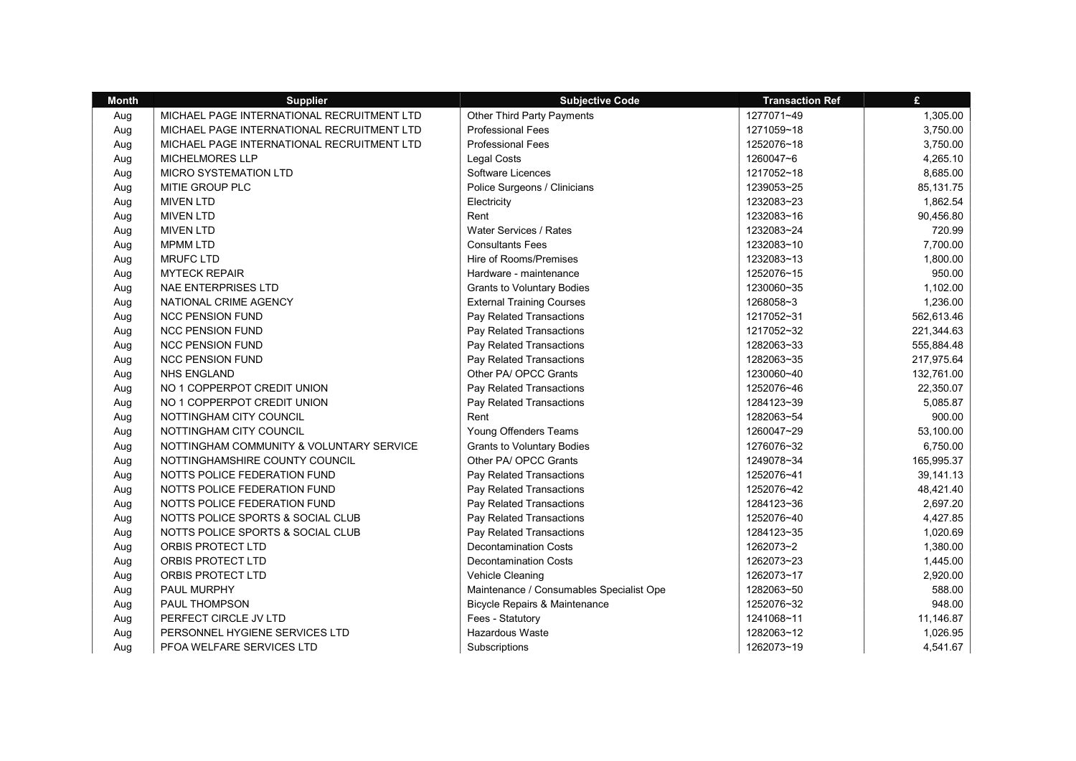| <b>Month</b> | <b>Supplier</b>                            | <b>Subjective Code</b>                   | <b>Transaction Ref</b> | £          |
|--------------|--------------------------------------------|------------------------------------------|------------------------|------------|
| Aug          | MICHAEL PAGE INTERNATIONAL RECRUITMENT LTD | Other Third Party Payments               | 1277071~49             | 1,305.00   |
| Aug          | MICHAEL PAGE INTERNATIONAL RECRUITMENT LTD | <b>Professional Fees</b>                 | 1271059~18             | 3,750.00   |
| Aug          | MICHAEL PAGE INTERNATIONAL RECRUITMENT LTD | <b>Professional Fees</b>                 | 1252076~18             | 3,750.00   |
| Aug          | <b>MICHELMORES LLP</b>                     | <b>Legal Costs</b>                       | 1260047~6              | 4,265.10   |
| Aug          | MICRO SYSTEMATION LTD                      | Software Licences                        | 1217052~18             | 8,685.00   |
| Aug          | MITIE GROUP PLC                            | Police Surgeons / Clinicians             | 1239053~25             | 85, 131.75 |
| Aug          | <b>MIVEN LTD</b>                           | Electricity                              | 1232083~23             | 1,862.54   |
| Aug          | <b>MIVEN LTD</b>                           | Rent                                     | 1232083~16             | 90,456.80  |
| Aug          | <b>MIVEN LTD</b>                           | Water Services / Rates                   | 1232083~24             | 720.99     |
| Aug          | <b>MPMM LTD</b>                            | <b>Consultants Fees</b>                  | 1232083~10             | 7,700.00   |
| Aug          | <b>MRUFC LTD</b>                           | Hire of Rooms/Premises                   | 1232083~13             | 1,800.00   |
| Aug          | <b>MYTECK REPAIR</b>                       | Hardware - maintenance                   | 1252076~15             | 950.00     |
| Aug          | <b>NAE ENTERPRISES LTD</b>                 | <b>Grants to Voluntary Bodies</b>        | 1230060~35             | 1,102.00   |
| Aug          | NATIONAL CRIME AGENCY                      | <b>External Training Courses</b>         | 1268058~3              | 1,236.00   |
| Aug          | <b>NCC PENSION FUND</b>                    | Pay Related Transactions                 | 1217052~31             | 562,613.46 |
| Aug          | <b>NCC PENSION FUND</b>                    | Pay Related Transactions                 | 1217052~32             | 221,344.63 |
| Aug          | <b>NCC PENSION FUND</b>                    | Pay Related Transactions                 | 1282063~33             | 555,884.48 |
| Aug          | <b>NCC PENSION FUND</b>                    | Pay Related Transactions                 | 1282063~35             | 217,975.64 |
| Aug          | <b>NHS ENGLAND</b>                         | Other PA/ OPCC Grants                    | 1230060~40             | 132,761.00 |
| Aug          | NO 1 COPPERPOT CREDIT UNION                | Pay Related Transactions                 | 1252076~46             | 22,350.07  |
| Aug          | NO 1 COPPERPOT CREDIT UNION                | Pay Related Transactions                 | 1284123~39             | 5,085.87   |
| Aug          | NOTTINGHAM CITY COUNCIL                    | Rent                                     | 1282063~54             | 900.00     |
| Aug          | NOTTINGHAM CITY COUNCIL                    | Young Offenders Teams                    | 1260047~29             | 53,100.00  |
| Aug          | NOTTINGHAM COMMUNITY & VOLUNTARY SERVICE   | <b>Grants to Voluntary Bodies</b>        | 1276076~32             | 6,750.00   |
| Aug          | NOTTINGHAMSHIRE COUNTY COUNCIL             | Other PA/ OPCC Grants                    | 1249078~34             | 165,995.37 |
| Aug          | NOTTS POLICE FEDERATION FUND               | Pay Related Transactions                 | 1252076~41             | 39,141.13  |
| Aug          | NOTTS POLICE FEDERATION FUND               | Pay Related Transactions                 | 1252076~42             | 48,421.40  |
| Aug          | NOTTS POLICE FEDERATION FUND               | Pay Related Transactions                 | 1284123~36             | 2.697.20   |
| Aug          | NOTTS POLICE SPORTS & SOCIAL CLUB          | Pay Related Transactions                 | 1252076~40             | 4,427.85   |
| Aug          | NOTTS POLICE SPORTS & SOCIAL CLUB          | Pay Related Transactions                 | 1284123~35             | 1,020.69   |
| Aug          | ORBIS PROTECT LTD                          | <b>Decontamination Costs</b>             | 1262073~2              | 1,380.00   |
| Aug          | ORBIS PROTECT LTD                          | <b>Decontamination Costs</b>             | 1262073~23             | 1,445.00   |
| Aug          | ORBIS PROTECT LTD                          | Vehicle Cleaning                         | 1262073~17             | 2,920.00   |
| Aug          | PAUL MURPHY                                | Maintenance / Consumables Specialist Ope | 1282063~50             | 588.00     |
| Aug          | <b>PAUL THOMPSON</b>                       | <b>Bicycle Repairs &amp; Maintenance</b> | 1252076~32             | 948.00     |
| Aug          | PERFECT CIRCLE JV LTD                      | Fees - Statutory                         | 1241068~11             | 11,146.87  |
| Aug          | PERSONNEL HYGIENE SERVICES LTD             | Hazardous Waste                          | 1282063~12             | 1,026.95   |
| Aug          | PFOA WELFARE SERVICES LTD                  | Subscriptions                            | 1262073~19             | 4,541.67   |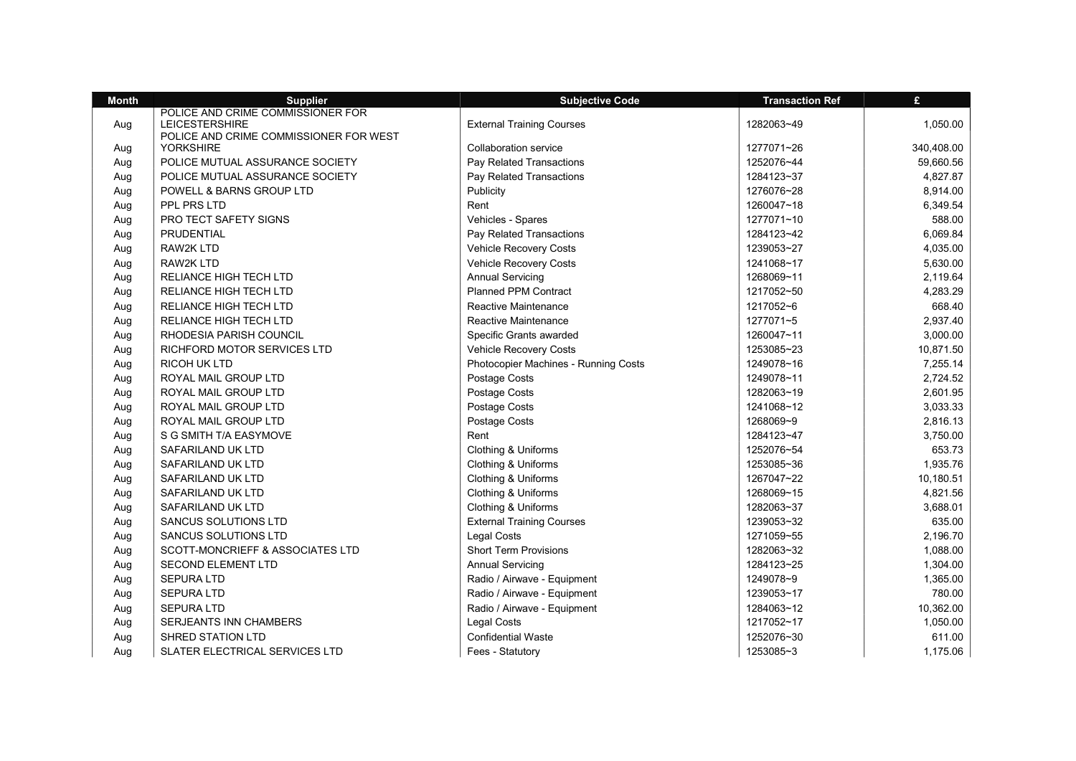| <b>Month</b> | <b>Supplier</b>                                            | <b>Subjective Code</b>               | <b>Transaction Ref</b> | £          |
|--------------|------------------------------------------------------------|--------------------------------------|------------------------|------------|
|              | POLICE AND CRIME COMMISSIONER FOR                          |                                      |                        |            |
| Aug          | <b>LEICESTERSHIRE</b>                                      | <b>External Training Courses</b>     | 1282063~49             | 1,050.00   |
| Aug          | POLICE AND CRIME COMMISSIONER FOR WEST<br><b>YORKSHIRE</b> | <b>Collaboration service</b>         | 1277071~26             | 340,408.00 |
| Aug          | POLICE MUTUAL ASSURANCE SOCIETY                            | Pay Related Transactions             | 1252076~44             | 59,660.56  |
| Aug          | POLICE MUTUAL ASSURANCE SOCIETY                            | Pay Related Transactions             | 1284123~37             | 4,827.87   |
| Aug          | POWELL & BARNS GROUP LTD                                   | Publicity                            | 1276076~28             | 8,914.00   |
|              | PPL PRS LTD                                                | Rent                                 | 1260047~18             | 6,349.54   |
| Aug<br>Aug   | PRO TECT SAFETY SIGNS                                      | Vehicles - Spares                    | 1277071~10             | 588.00     |
|              | PRUDENTIAL                                                 | Pay Related Transactions             | 1284123~42             | 6,069.84   |
| Aug          | <b>RAW2K LTD</b>                                           |                                      | 1239053~27             |            |
| Aug          |                                                            | Vehicle Recovery Costs               |                        | 4,035.00   |
| Aug          | RAW2K LTD                                                  | Vehicle Recovery Costs               | 1241068~17             | 5,630.00   |
| Aug          | <b>RELIANCE HIGH TECH LTD</b>                              | <b>Annual Servicing</b>              | 1268069~11             | 2,119.64   |
| Aug          | <b>RELIANCE HIGH TECH LTD</b>                              | <b>Planned PPM Contract</b>          | 1217052~50             | 4,283.29   |
| Aug          | <b>RELIANCE HIGH TECH LTD</b>                              | Reactive Maintenance                 | 1217052~6              | 668.40     |
| Aug          | RELIANCE HIGH TECH LTD                                     | Reactive Maintenance                 | 1277071~5              | 2,937.40   |
| Aug          | RHODESIA PARISH COUNCIL                                    | Specific Grants awarded              | 1260047~11             | 3,000.00   |
| Aug          | RICHFORD MOTOR SERVICES LTD                                | Vehicle Recovery Costs               | 1253085~23             | 10,871.50  |
| Aug          | RICOH UK LTD                                               | Photocopier Machines - Running Costs | 1249078~16             | 7,255.14   |
| Aug          | ROYAL MAIL GROUP LTD                                       | Postage Costs                        | 1249078~11             | 2,724.52   |
| Aug          | ROYAL MAIL GROUP LTD                                       | Postage Costs                        | 1282063~19             | 2,601.95   |
| Aug          | ROYAL MAIL GROUP LTD                                       | Postage Costs                        | 1241068~12             | 3,033.33   |
| Aug          | ROYAL MAIL GROUP LTD                                       | Postage Costs                        | 1268069~9              | 2,816.13   |
| Aug          | S G SMITH T/A EASYMOVE                                     | Rent                                 | 1284123~47             | 3,750.00   |
| Aug          | SAFARILAND UK LTD                                          | Clothing & Uniforms                  | 1252076~54             | 653.73     |
| Aug          | SAFARILAND UK LTD                                          | Clothing & Uniforms                  | 1253085~36             | 1,935.76   |
| Aug          | SAFARILAND UK LTD                                          | Clothing & Uniforms                  | 1267047~22             | 10,180.51  |
| Aug          | SAFARILAND UK LTD                                          | Clothing & Uniforms                  | 1268069~15             | 4,821.56   |
| Aug          | SAFARILAND UK LTD                                          | Clothing & Uniforms                  | 1282063~37             | 3,688.01   |
| Aug          | <b>SANCUS SOLUTIONS LTD</b>                                | <b>External Training Courses</b>     | 1239053~32             | 635.00     |
| Aug          | <b>SANCUS SOLUTIONS LTD</b>                                | <b>Legal Costs</b>                   | 1271059~55             | 2,196.70   |
| Aug          | SCOTT-MONCRIEFF & ASSOCIATES LTD                           | <b>Short Term Provisions</b>         | 1282063~32             | 1,088.00   |
| Aug          | <b>SECOND ELEMENT LTD</b>                                  | <b>Annual Servicing</b>              | 1284123~25             | 1,304.00   |
| Aug          | <b>SEPURA LTD</b>                                          | Radio / Airwave - Equipment          | 1249078~9              | 1,365.00   |
| Aug          | <b>SEPURA LTD</b>                                          | Radio / Airwave - Equipment          | 1239053~17             | 780.00     |
| Aug          | <b>SEPURA LTD</b>                                          | Radio / Airwave - Equipment          | 1284063~12             | 10,362.00  |
| Aug          | <b>SERJEANTS INN CHAMBERS</b>                              | <b>Legal Costs</b>                   | 1217052~17             | 1,050.00   |
| Aug          | SHRED STATION LTD                                          | <b>Confidential Waste</b>            | 1252076~30             | 611.00     |
| Aug          | SLATER ELECTRICAL SERVICES LTD                             | Fees - Statutory                     | 1253085~3              | 1,175.06   |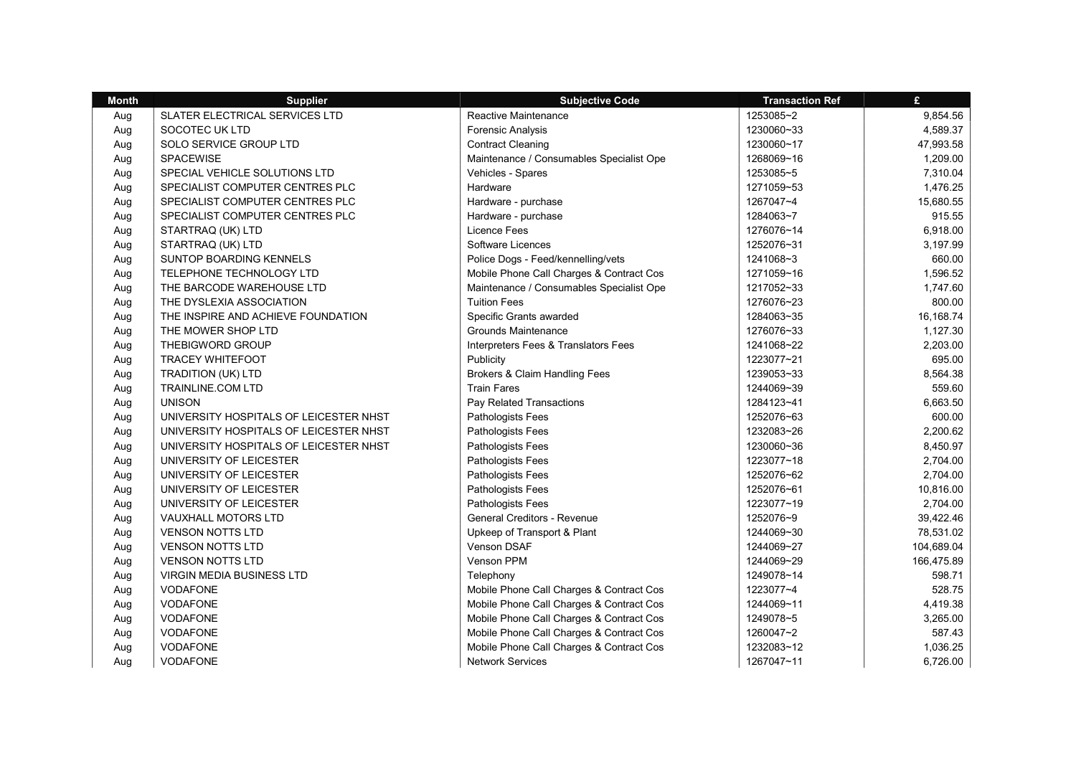| <b>Month</b> | <b>Supplier</b>                        | <b>Subjective Code</b>                   | <b>Transaction Ref</b> | £          |
|--------------|----------------------------------------|------------------------------------------|------------------------|------------|
| Aug          | SLATER ELECTRICAL SERVICES LTD         | Reactive Maintenance                     | 1253085~2              | 9,854.56   |
| Aug          | SOCOTEC UK LTD                         | <b>Forensic Analysis</b>                 | 1230060~33             | 4,589.37   |
| Aug          | SOLO SERVICE GROUP LTD                 | <b>Contract Cleaning</b>                 | 1230060~17             | 47,993.58  |
| Aug          | <b>SPACEWISE</b>                       | Maintenance / Consumables Specialist Ope | 1268069~16             | 1,209.00   |
| Aug          | SPECIAL VEHICLE SOLUTIONS LTD          | Vehicles - Spares                        | 1253085~5              | 7,310.04   |
| Aug          | SPECIALIST COMPUTER CENTRES PLC        | Hardware                                 | 1271059~53             | 1,476.25   |
| Aug          | SPECIALIST COMPUTER CENTRES PLC        | Hardware - purchase                      | 1267047~4              | 15,680.55  |
| Aug          | SPECIALIST COMPUTER CENTRES PLC        | Hardware - purchase                      | 1284063~7              | 915.55     |
| Aug          | STARTRAQ (UK) LTD                      | <b>Licence Fees</b>                      | 1276076~14             | 6,918.00   |
| Aug          | STARTRAQ (UK) LTD                      | Software Licences                        | 1252076~31             | 3,197.99   |
| Aug          | <b>SUNTOP BOARDING KENNELS</b>         | Police Dogs - Feed/kennelling/vets       | 1241068~3              | 660.00     |
| Aug          | TELEPHONE TECHNOLOGY LTD               | Mobile Phone Call Charges & Contract Cos | 1271059~16             | 1,596.52   |
| Aug          | THE BARCODE WAREHOUSE LTD              | Maintenance / Consumables Specialist Ope | 1217052~33             | 1,747.60   |
| Aug          | THE DYSLEXIA ASSOCIATION               | <b>Tuition Fees</b>                      | 1276076~23             | 800.00     |
| Aug          | THE INSPIRE AND ACHIEVE FOUNDATION     | Specific Grants awarded                  | 1284063~35             | 16,168.74  |
| Aug          | THE MOWER SHOP LTD                     | <b>Grounds Maintenance</b>               | 1276076~33             | 1,127.30   |
| Aug          | THEBIGWORD GROUP                       | Interpreters Fees & Translators Fees     | 1241068~22             | 2,203.00   |
| Aug          | <b>TRACEY WHITEFOOT</b>                | Publicity                                | 1223077~21             | 695.00     |
| Aug          | <b>TRADITION (UK) LTD</b>              | Brokers & Claim Handling Fees            | 1239053~33             | 8,564.38   |
| Aug          | TRAINLINE.COM LTD                      | <b>Train Fares</b>                       | 1244069~39             | 559.60     |
| Aug          | <b>UNISON</b>                          | Pay Related Transactions                 | 1284123~41             | 6,663.50   |
| Aug          | UNIVERSITY HOSPITALS OF LEICESTER NHST | Pathologists Fees                        | 1252076~63             | 600.00     |
| Aug          | UNIVERSITY HOSPITALS OF LEICESTER NHST | Pathologists Fees                        | 1232083~26             | 2,200.62   |
| Aug          | UNIVERSITY HOSPITALS OF LEICESTER NHST | Pathologists Fees                        | 1230060~36             | 8,450.97   |
| Aug          | UNIVERSITY OF LEICESTER                | Pathologists Fees                        | 1223077~18             | 2,704.00   |
| Aug          | UNIVERSITY OF LEICESTER                | Pathologists Fees                        | 1252076~62             | 2,704.00   |
| Aug          | UNIVERSITY OF LEICESTER                | Pathologists Fees                        | 1252076~61             | 10,816.00  |
| Aug          | UNIVERSITY OF LEICESTER                | Pathologists Fees                        | 1223077~19             | 2,704.00   |
| Aug          | <b>VAUXHALL MOTORS LTD</b>             | <b>General Creditors - Revenue</b>       | 1252076~9              | 39,422.46  |
| Aug          | <b>VENSON NOTTS LTD</b>                | Upkeep of Transport & Plant              | 1244069~30             | 78,531.02  |
| Aug          | <b>VENSON NOTTS LTD</b>                | Venson DSAF                              | 1244069~27             | 104,689.04 |
| Aug          | <b>VENSON NOTTS LTD</b>                | Venson PPM                               | 1244069~29             | 166,475.89 |
| Aug          | <b>VIRGIN MEDIA BUSINESS LTD</b>       | Telephony                                | 1249078~14             | 598.71     |
| Aug          | <b>VODAFONE</b>                        | Mobile Phone Call Charges & Contract Cos | 1223077~4              | 528.75     |
| Aug          | VODAFONE                               | Mobile Phone Call Charges & Contract Cos | 1244069~11             | 4,419.38   |
| Aug          | <b>VODAFONE</b>                        | Mobile Phone Call Charges & Contract Cos | 1249078~5              | 3,265.00   |
| Aug          | <b>VODAFONE</b>                        | Mobile Phone Call Charges & Contract Cos | 1260047~2              | 587.43     |
| Aug          | <b>VODAFONE</b>                        | Mobile Phone Call Charges & Contract Cos | 1232083~12             | 1,036.25   |
| Aua          | <b>VODAFONE</b>                        | <b>Network Services</b>                  | 1267047~11             | 6,726.00   |